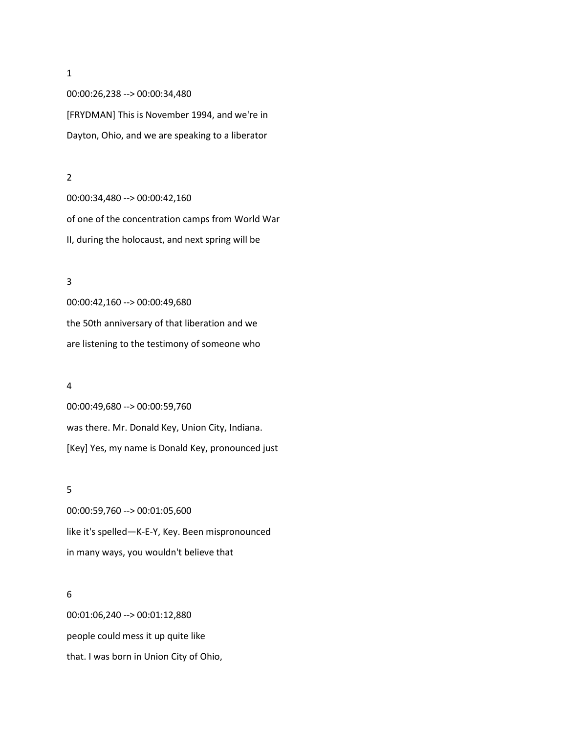00:00:26,238 --> 00:00:34,480 [FRYDMAN] This is November 1994, and we're in Dayton, Ohio, and we are speaking to a liberator

#### 2

00:00:34,480 --> 00:00:42,160 of one of the concentration camps from World War II, during the holocaust, and next spring will be

## 3

00:00:42,160 --> 00:00:49,680 the 50th anniversary of that liberation and we are listening to the testimony of someone who

## 4

00:00:49,680 --> 00:00:59,760 was there. Mr. Donald Key, Union City, Indiana. [Key] Yes, my name is Donald Key, pronounced just

## 5

00:00:59,760 --> 00:01:05,600 like it's spelled—K-E-Y, Key. Been mispronounced in many ways, you wouldn't believe that

#### 6

00:01:06,240 --> 00:01:12,880 people could mess it up quite like that. I was born in Union City of Ohio,

1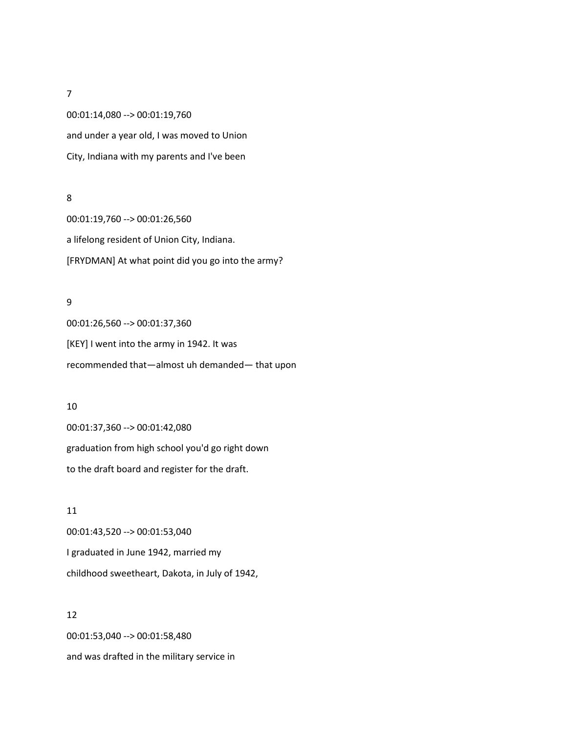00:01:14,080 --> 00:01:19,760 and under a year old, I was moved to Union City, Indiana with my parents and I've been

## 8

00:01:19,760 --> 00:01:26,560 a lifelong resident of Union City, Indiana. [FRYDMAN] At what point did you go into the army?

## 9

00:01:26,560 --> 00:01:37,360 [KEY] I went into the army in 1942. It was recommended that—almost uh demanded— that upon

#### 10

00:01:37,360 --> 00:01:42,080 graduation from high school you'd go right down to the draft board and register for the draft.

11 00:01:43,520 --> 00:01:53,040 I graduated in June 1942, married my childhood sweetheart, Dakota, in July of 1942,

# 12

00:01:53,040 --> 00:01:58,480 and was drafted in the military service in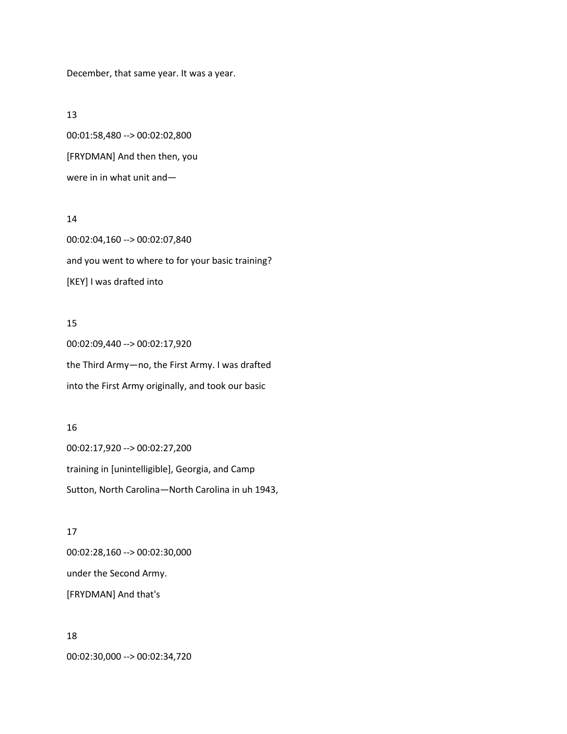December, that same year. It was a year.

#### 13

00:01:58,480 --> 00:02:02,800 [FRYDMAN] And then then, you were in in what unit and—

## 14

00:02:04,160 --> 00:02:07,840 and you went to where to for your basic training? [KEY] I was drafted into

# 15

00:02:09,440 --> 00:02:17,920 the Third Army—no, the First Army. I was drafted into the First Army originally, and took our basic

# 16

00:02:17,920 --> 00:02:27,200 training in [unintelligible], Georgia, and Camp Sutton, North Carolina—North Carolina in uh 1943,

## 17

00:02:28,160 --> 00:02:30,000 under the Second Army. [FRYDMAN] And that's

18 00:02:30,000 --> 00:02:34,720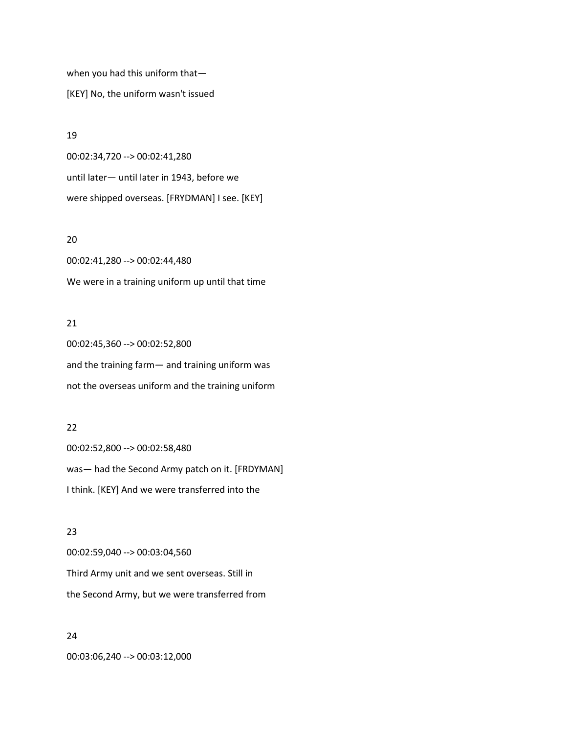when you had this uniform that— [KEY] No, the uniform wasn't issued

#### 19

00:02:34,720 --> 00:02:41,280 until later— until later in 1943, before we were shipped overseas. [FRYDMAN] I see. [KEY]

## 20

00:02:41,280 --> 00:02:44,480 We were in a training uniform up until that time

# 21

00:02:45,360 --> 00:02:52,800 and the training farm— and training uniform was not the overseas uniform and the training uniform

# 22

00:02:52,800 --> 00:02:58,480 was— had the Second Army patch on it. [FRDYMAN] I think. [KEY] And we were transferred into the

# 23

00:02:59,040 --> 00:03:04,560 Third Army unit and we sent overseas. Still in the Second Army, but we were transferred from

# 24 00:03:06,240 --> 00:03:12,000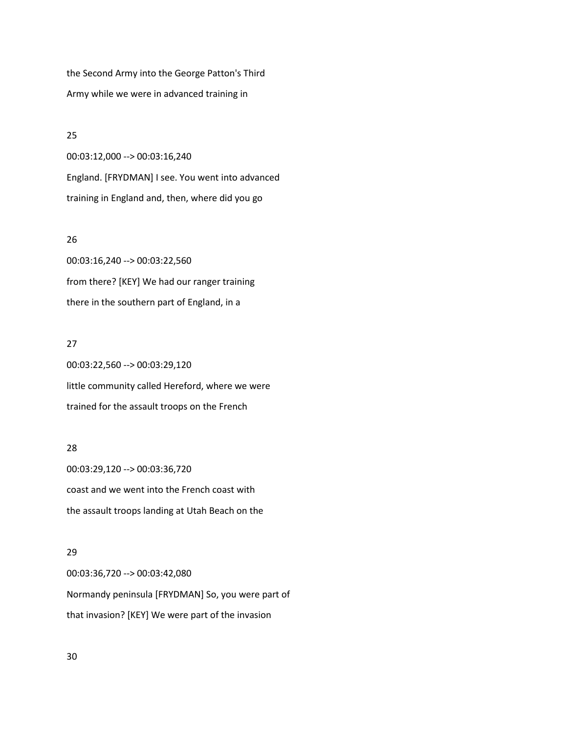the Second Army into the George Patton's Third Army while we were in advanced training in

### 25

00:03:12,000 --> 00:03:16,240 England. [FRYDMAN] I see. You went into advanced training in England and, then, where did you go

## 26

00:03:16,240 --> 00:03:22,560 from there? [KEY] We had our ranger training there in the southern part of England, in a

## 27

00:03:22,560 --> 00:03:29,120 little community called Hereford, where we were trained for the assault troops on the French

# 28

00:03:29,120 --> 00:03:36,720 coast and we went into the French coast with the assault troops landing at Utah Beach on the

# 29

00:03:36,720 --> 00:03:42,080 Normandy peninsula [FRYDMAN] So, you were part of that invasion? [KEY] We were part of the invasion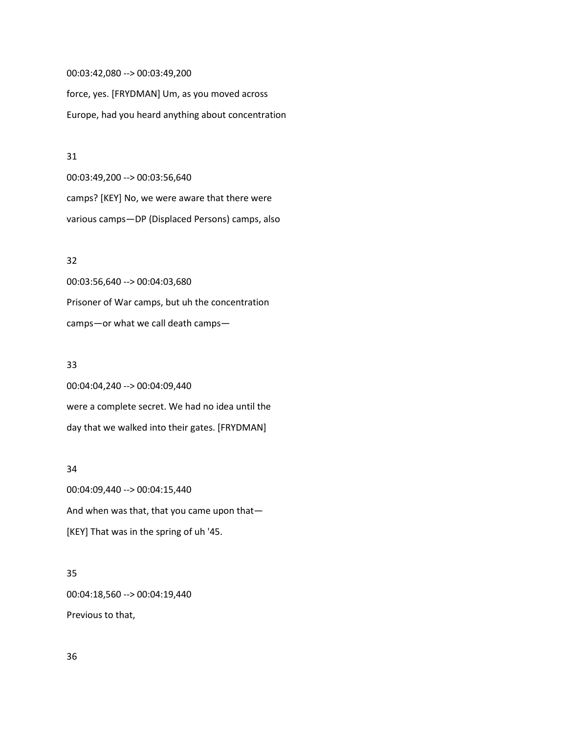00:03:42,080 --> 00:03:49,200 force, yes. [FRYDMAN] Um, as you moved across Europe, had you heard anything about concentration

#### 31

00:03:49,200 --> 00:03:56,640 camps? [KEY] No, we were aware that there were various camps—DP (Displaced Persons) camps, also

## 32

00:03:56,640 --> 00:04:03,680 Prisoner of War camps, but uh the concentration camps—or what we call death camps—

## 33

00:04:04,240 --> 00:04:09,440 were a complete secret. We had no idea until the day that we walked into their gates. [FRYDMAN]

## 34

00:04:09,440 --> 00:04:15,440 And when was that, that you came upon that— [KEY] That was in the spring of uh '45.

# 35

00:04:18,560 --> 00:04:19,440

Previous to that,

36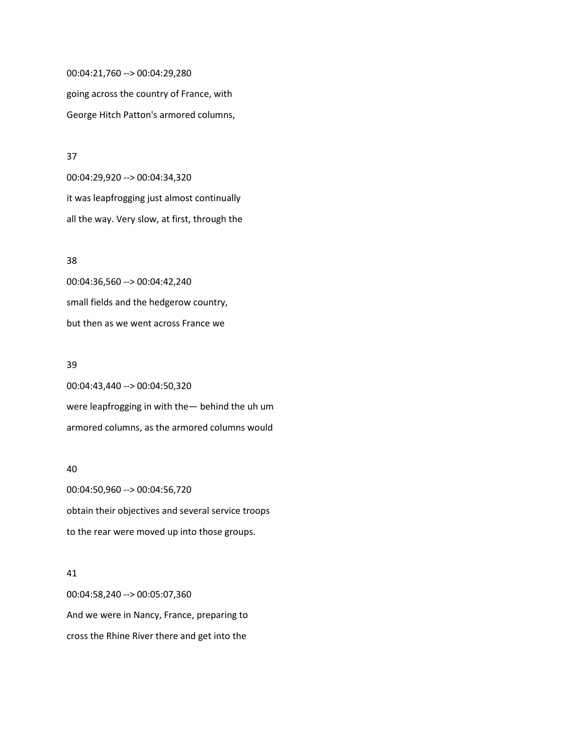00:04:21,760 --> 00:04:29,280 going across the country of France, with George Hitch Patton's armored columns,

# 37

00:04:29,920 --> 00:04:34,320 it was leapfrogging just almost continually all the way. Very slow, at first, through the

# 38

00:04:36,560 --> 00:04:42,240 small fields and the hedgerow country, but then as we went across France we

#### 39

00:04:43,440 --> 00:04:50,320 were leapfrogging in with the— behind the uh um armored columns, as the armored columns would

#### 40

00:04:50,960 --> 00:04:56,720 obtain their objectives and several service troops to the rear were moved up into those groups.

# 41

00:04:58,240 --> 00:05:07,360 And we were in Nancy, France, preparing to cross the Rhine River there and get into the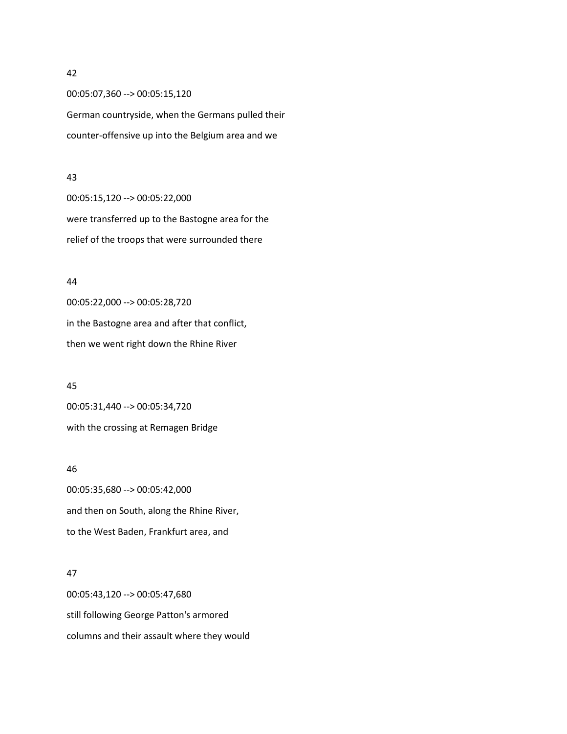00:05:07,360 --> 00:05:15,120 German countryside, when the Germans pulled their counter-offensive up into the Belgium area and we

#### 43

00:05:15,120 --> 00:05:22,000 were transferred up to the Bastogne area for the relief of the troops that were surrounded there

## 44

00:05:22,000 --> 00:05:28,720 in the Bastogne area and after that conflict, then we went right down the Rhine River

# 45 00:05:31,440 --> 00:05:34,720

with the crossing at Remagen Bridge

#### 46

00:05:35,680 --> 00:05:42,000 and then on South, along the Rhine River, to the West Baden, Frankfurt area, and

# 47

00:05:43,120 --> 00:05:47,680 still following George Patton's armored columns and their assault where they would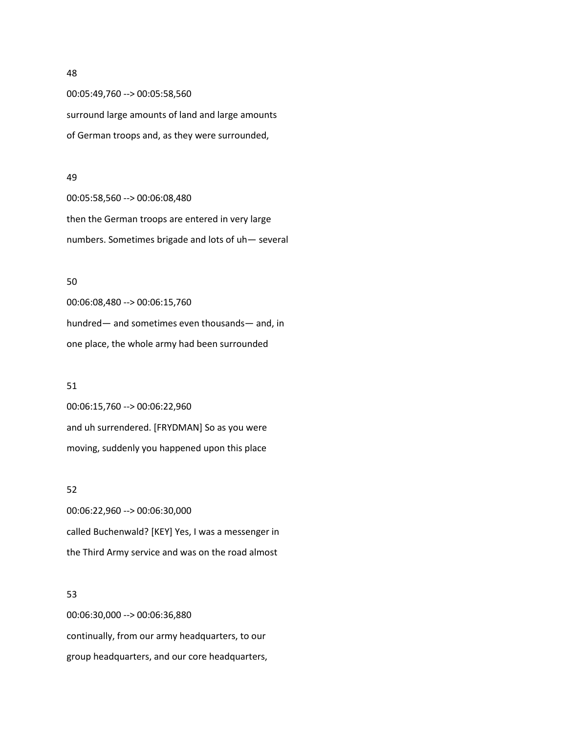00:05:49,760 --> 00:05:58,560 surround large amounts of land and large amounts of German troops and, as they were surrounded,

#### 49

00:05:58,560 --> 00:06:08,480 then the German troops are entered in very large numbers. Sometimes brigade and lots of uh— several

## 50

00:06:08,480 --> 00:06:15,760 hundred— and sometimes even thousands— and, in one place, the whole army had been surrounded

#### 51

00:06:15,760 --> 00:06:22,960 and uh surrendered. [FRYDMAN] So as you were moving, suddenly you happened upon this place

## 52

00:06:22,960 --> 00:06:30,000 called Buchenwald? [KEY] Yes, I was a messenger in the Third Army service and was on the road almost

#### 53

00:06:30,000 --> 00:06:36,880 continually, from our army headquarters, to our group headquarters, and our core headquarters,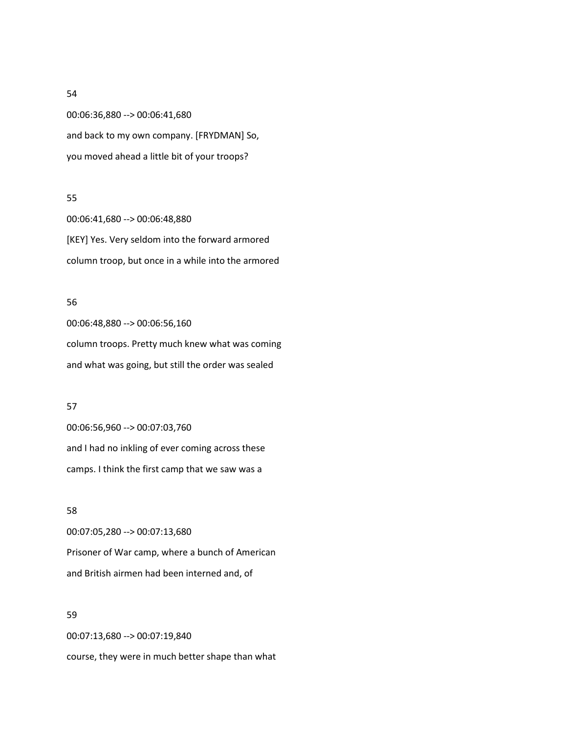00:06:36,880 --> 00:06:41,680 and back to my own company. [FRYDMAN] So, you moved ahead a little bit of your troops?

## 55

00:06:41,680 --> 00:06:48,880 [KEY] Yes. Very seldom into the forward armored column troop, but once in a while into the armored

## 56

00:06:48,880 --> 00:06:56,160 column troops. Pretty much knew what was coming and what was going, but still the order was sealed

#### 57

00:06:56,960 --> 00:07:03,760 and I had no inkling of ever coming across these camps. I think the first camp that we saw was a

## 58

00:07:05,280 --> 00:07:13,680 Prisoner of War camp, where a bunch of American and British airmen had been interned and, of

## 59

00:07:13,680 --> 00:07:19,840 course, they were in much better shape than what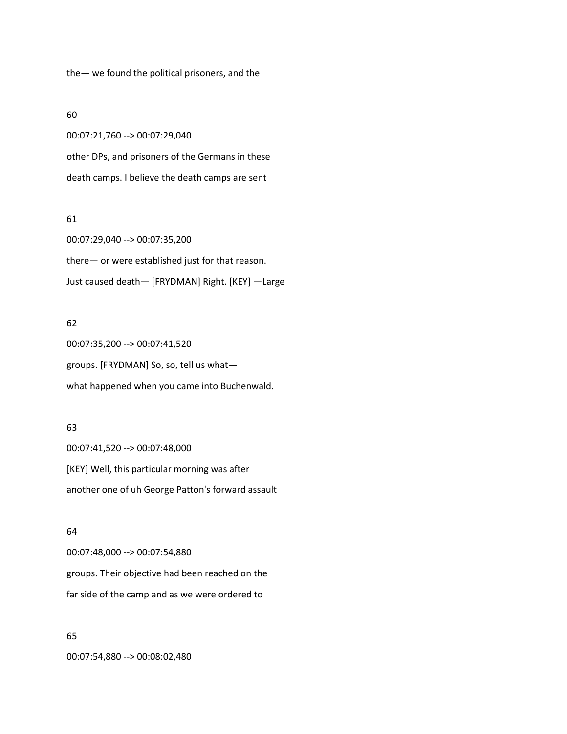the— we found the political prisoners, and the

## 60

00:07:21,760 --> 00:07:29,040 other DPs, and prisoners of the Germans in these death camps. I believe the death camps are sent

## 61

00:07:29,040 --> 00:07:35,200 there— or were established just for that reason. Just caused death— [FRYDMAN] Right. [KEY] —Large

# 62

00:07:35,200 --> 00:07:41,520 groups. [FRYDMAN] So, so, tell us what what happened when you came into Buchenwald.

## 63

00:07:41,520 --> 00:07:48,000 [KEY] Well, this particular morning was after another one of uh George Patton's forward assault

## 64

00:07:48,000 --> 00:07:54,880 groups. Their objective had been reached on the far side of the camp and as we were ordered to

## 65

00:07:54,880 --> 00:08:02,480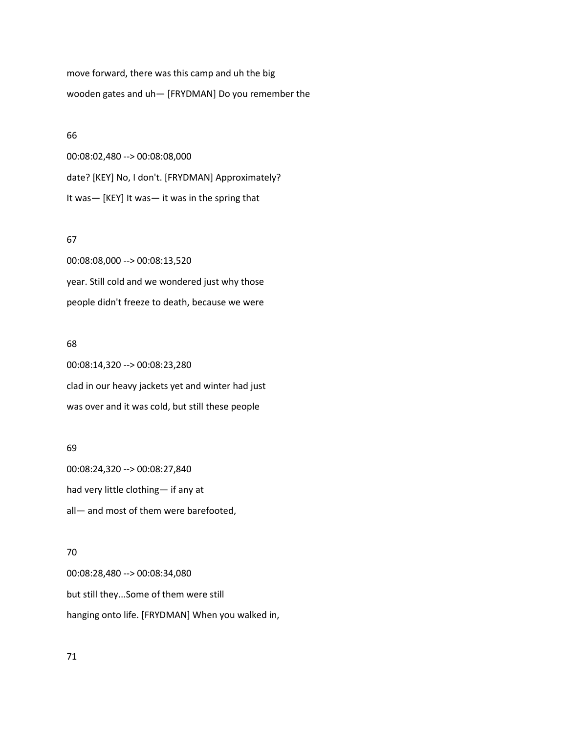move forward, there was this camp and uh the big wooden gates and uh— [FRYDMAN] Do you remember the

#### 66

00:08:02,480 --> 00:08:08,000 date? [KEY] No, I don't. [FRYDMAN] Approximately? It was— [KEY] It was— it was in the spring that

## 67

00:08:08,000 --> 00:08:13,520 year. Still cold and we wondered just why those people didn't freeze to death, because we were

#### 68

00:08:14,320 --> 00:08:23,280 clad in our heavy jackets yet and winter had just was over and it was cold, but still these people

# 69

00:08:24,320 --> 00:08:27,840 had very little clothing— if any at all— and most of them were barefooted,

# 70

00:08:28,480 --> 00:08:34,080 but still they...Some of them were still hanging onto life. [FRYDMAN] When you walked in,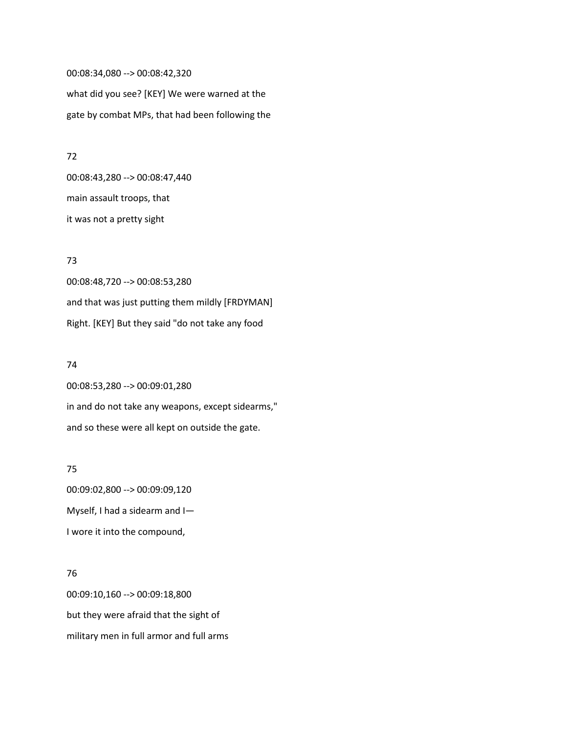00:08:34,080 --> 00:08:42,320 what did you see? [KEY] We were warned at the gate by combat MPs, that had been following the

# 72

00:08:43,280 --> 00:08:47,440 main assault troops, that it was not a pretty sight

# 73

00:08:48,720 --> 00:08:53,280 and that was just putting them mildly [FRDYMAN] Right. [KEY] But they said "do not take any food

## 74

00:08:53,280 --> 00:09:01,280 in and do not take any weapons, except sidearms," and so these were all kept on outside the gate.

## 75

00:09:02,800 --> 00:09:09,120 Myself, I had a sidearm and I— I wore it into the compound,

# 76

00:09:10,160 --> 00:09:18,800 but they were afraid that the sight of military men in full armor and full arms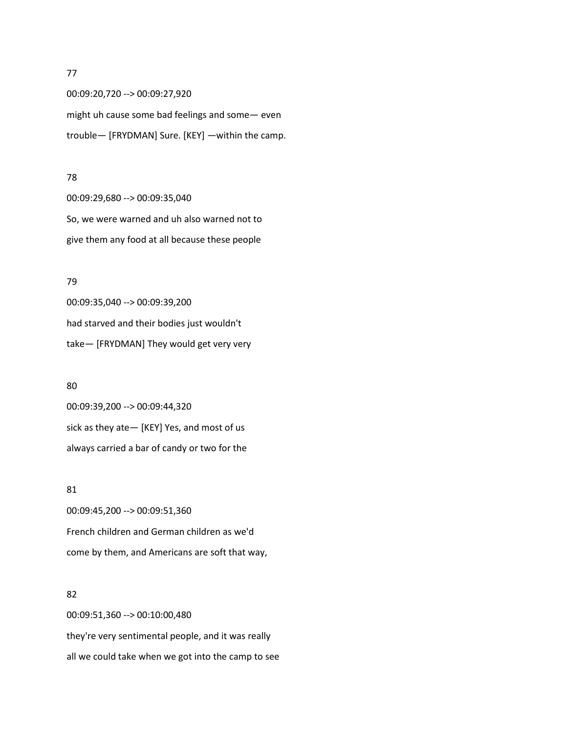00:09:20,720 --> 00:09:27,920 might uh cause some bad feelings and some— even trouble— [FRYDMAN] Sure. [KEY] —within the camp.

#### 78

00:09:29,680 --> 00:09:35,040 So, we were warned and uh also warned not to give them any food at all because these people

#### 79

00:09:35,040 --> 00:09:39,200 had starved and their bodies just wouldn't take— [FRYDMAN] They would get very very

## 80

00:09:39,200 --> 00:09:44,320 sick as they ate— [KEY] Yes, and most of us always carried a bar of candy or two for the

## 81

00:09:45,200 --> 00:09:51,360 French children and German children as we'd come by them, and Americans are soft that way,

#### 82

00:09:51,360 --> 00:10:00,480 they're very sentimental people, and it was really all we could take when we got into the camp to see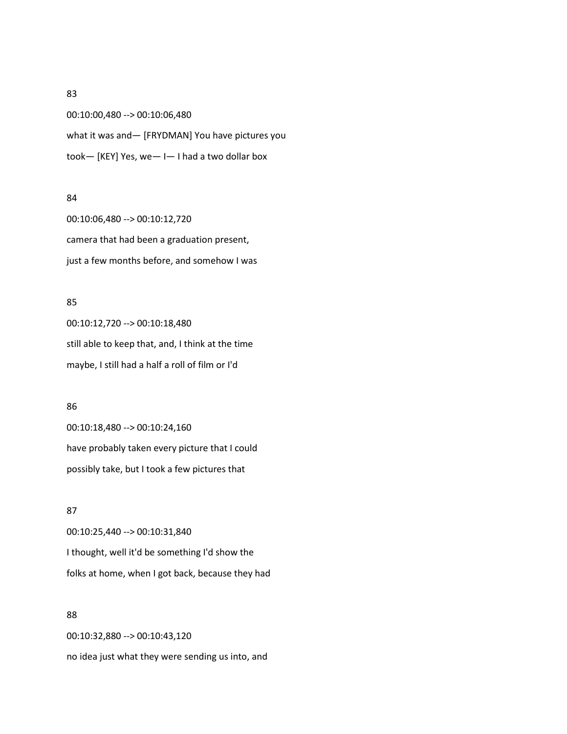00:10:00,480 --> 00:10:06,480 what it was and— [FRYDMAN] You have pictures you took— [KEY] Yes, we— I— I had a two dollar box

#### 84

00:10:06,480 --> 00:10:12,720 camera that had been a graduation present, just a few months before, and somehow I was

## 85

00:10:12,720 --> 00:10:18,480 still able to keep that, and, I think at the time maybe, I still had a half a roll of film or I'd

#### 86

00:10:18,480 --> 00:10:24,160 have probably taken every picture that I could possibly take, but I took a few pictures that

#### 87

00:10:25,440 --> 00:10:31,840 I thought, well it'd be something I'd show the folks at home, when I got back, because they had

## 88

00:10:32,880 --> 00:10:43,120 no idea just what they were sending us into, and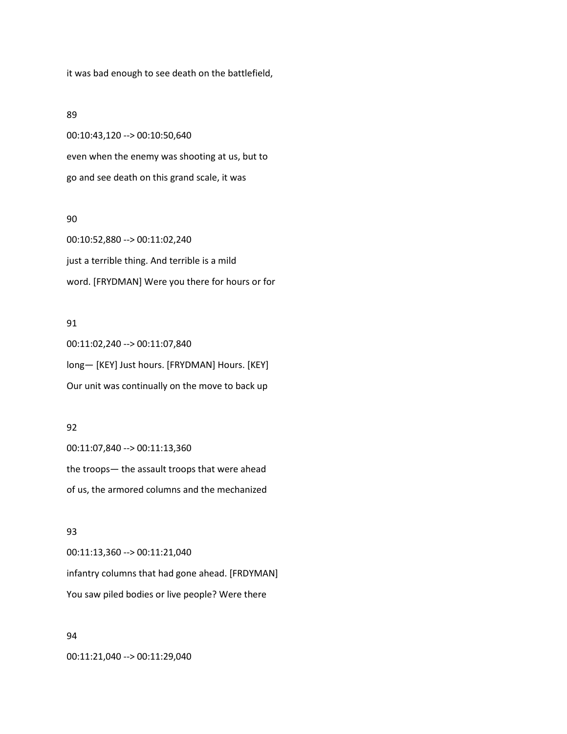it was bad enough to see death on the battlefield,

#### 89

00:10:43,120 --> 00:10:50,640 even when the enemy was shooting at us, but to go and see death on this grand scale, it was

### 90

00:10:52,880 --> 00:11:02,240 just a terrible thing. And terrible is a mild word. [FRYDMAN] Were you there for hours or for

## 91

00:11:02,240 --> 00:11:07,840 long— [KEY] Just hours. [FRYDMAN] Hours. [KEY] Our unit was continually on the move to back up

## 92

00:11:07,840 --> 00:11:13,360 the troops— the assault troops that were ahead of us, the armored columns and the mechanized

## 93

00:11:13,360 --> 00:11:21,040 infantry columns that had gone ahead. [FRDYMAN] You saw piled bodies or live people? Were there

#### 94

00:11:21,040 --> 00:11:29,040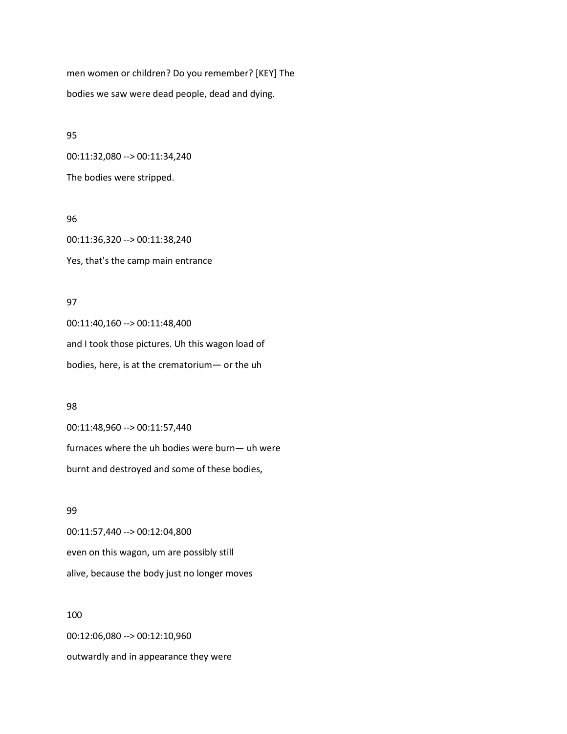men women or children? Do you remember? [KEY] The bodies we saw were dead people, dead and dying.

95 00:11:32,080 --> 00:11:34,240

The bodies were stripped.

96

00:11:36,320 --> 00:11:38,240 Yes, that's the camp main entrance

## 97

00:11:40,160 --> 00:11:48,400 and I took those pictures. Uh this wagon load of bodies, here, is at the crematorium— or the uh

#### 98

00:11:48,960 --> 00:11:57,440 furnaces where the uh bodies were burn— uh were burnt and destroyed and some of these bodies,

# 99

00:11:57,440 --> 00:12:04,800 even on this wagon, um are possibly still alive, because the body just no longer moves

# 100

00:12:06,080 --> 00:12:10,960 outwardly and in appearance they were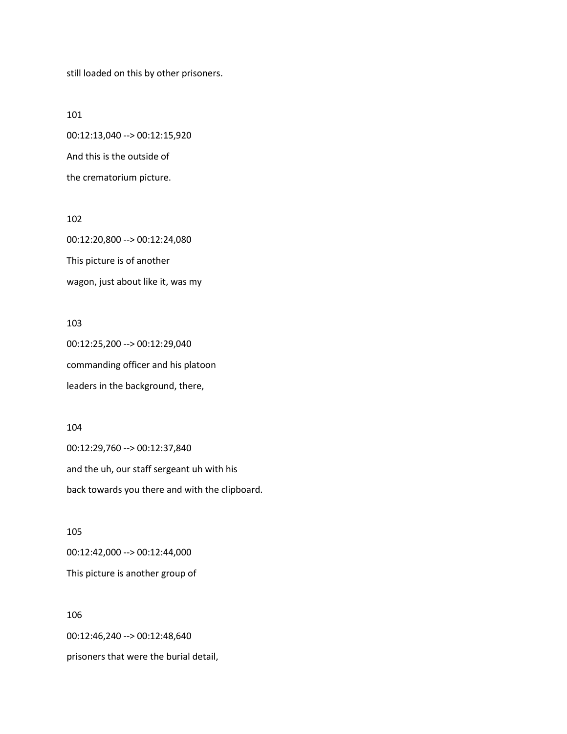still loaded on this by other prisoners.

101 00:12:13,040 --> 00:12:15,920 And this is the outside of the crematorium picture.

00:12:20,800 --> 00:12:24,080 This picture is of another wagon, just about like it, was my

#### 103

102

00:12:25,200 --> 00:12:29,040 commanding officer and his platoon leaders in the background, there,

## 104

00:12:29,760 --> 00:12:37,840 and the uh, our staff sergeant uh with his back towards you there and with the clipboard.

105

00:12:42,000 --> 00:12:44,000 This picture is another group of

106

00:12:46,240 --> 00:12:48,640

prisoners that were the burial detail,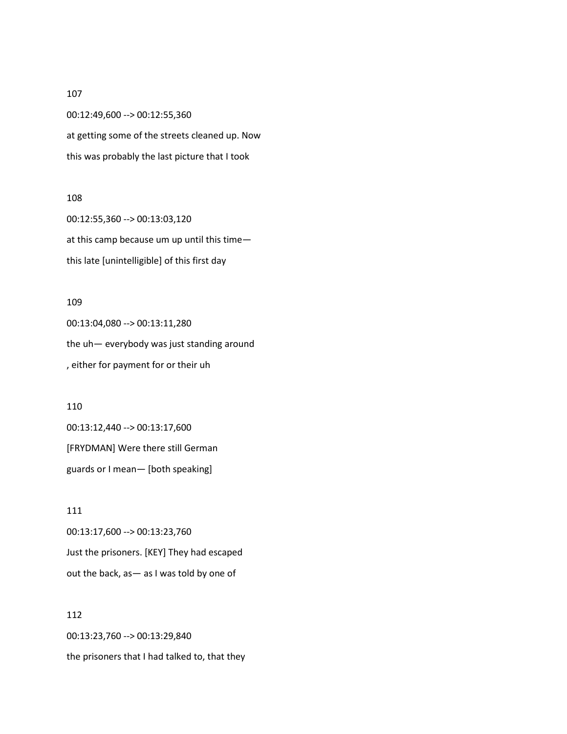00:12:49,600 --> 00:12:55,360 at getting some of the streets cleaned up. Now this was probably the last picture that I took

## 108

00:12:55,360 --> 00:13:03,120 at this camp because um up until this time this late [unintelligible] of this first day

#### 109

00:13:04,080 --> 00:13:11,280 the uh— everybody was just standing around , either for payment for or their uh

#### 110

00:13:12,440 --> 00:13:17,600 [FRYDMAN] Were there still German guards or I mean— [both speaking]

111 00:13:17,600 --> 00:13:23,760 Just the prisoners. [KEY] They had escaped out the back, as— as I was told by one of

# 112

00:13:23,760 --> 00:13:29,840 the prisoners that I had talked to, that they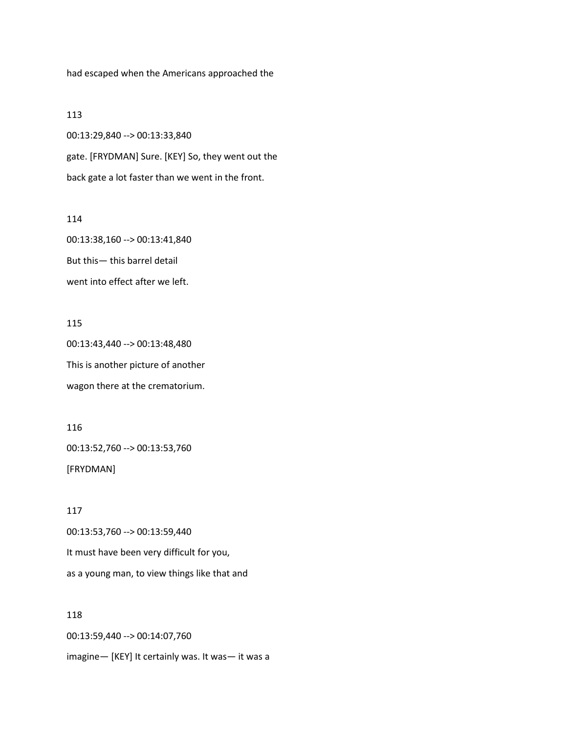had escaped when the Americans approached the

### 113

00:13:29,840 --> 00:13:33,840 gate. [FRYDMAN] Sure. [KEY] So, they went out the back gate a lot faster than we went in the front.

## 114

00:13:38,160 --> 00:13:41,840 But this— this barrel detail went into effect after we left.

## 115

00:13:43,440 --> 00:13:48,480 This is another picture of another wagon there at the crematorium.

116 00:13:52,760 --> 00:13:53,760 [FRYDMAN]

117 00:13:53,760 --> 00:13:59,440 It must have been very difficult for you, as a young man, to view things like that and

# 118

00:13:59,440 --> 00:14:07,760 imagine— [KEY] It certainly was. It was— it was a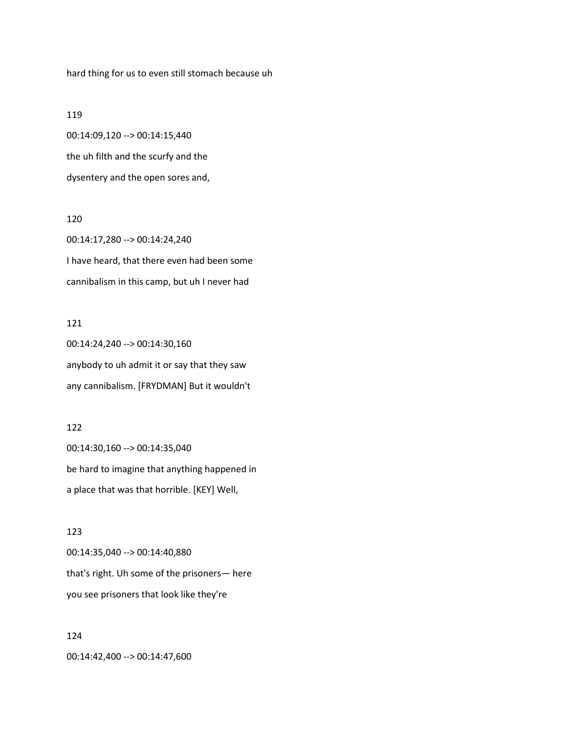hard thing for us to even still stomach because uh

#### 119

00:14:09,120 --> 00:14:15,440 the uh filth and the scurfy and the dysentery and the open sores and,

## 120

00:14:17,280 --> 00:14:24,240 I have heard, that there even had been some cannibalism in this camp, but uh I never had

#### 121

00:14:24,240 --> 00:14:30,160 anybody to uh admit it or say that they saw any cannibalism. [FRYDMAN] But it wouldn't

## 122

00:14:30,160 --> 00:14:35,040 be hard to imagine that anything happened in a place that was that horrible. [KEY] Well,

## 123

00:14:35,040 --> 00:14:40,880 that's right. Uh some of the prisoners— here you see prisoners that look like they're

# 124 00:14:42,400 --> 00:14:47,600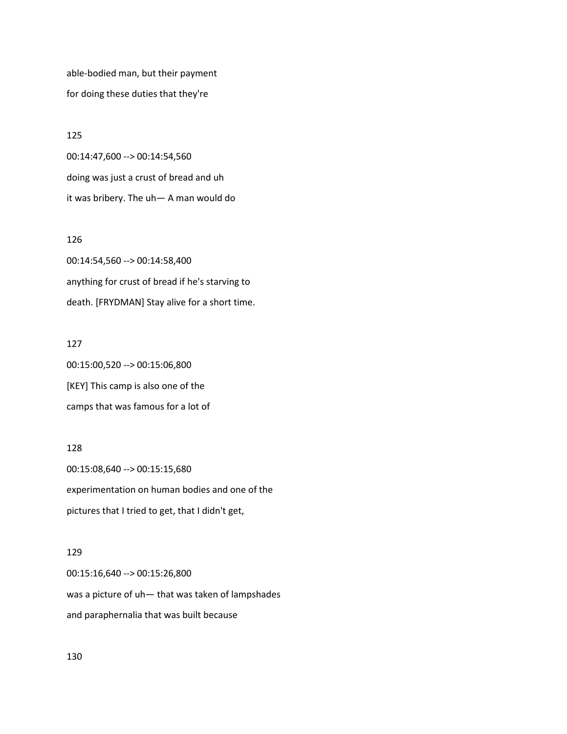able-bodied man, but their payment for doing these duties that they're

125 00:14:47,600 --> 00:14:54,560 doing was just a crust of bread and uh it was bribery. The uh— A man would do

## 126

00:14:54,560 --> 00:14:58,400 anything for crust of bread if he's starving to death. [FRYDMAN] Stay alive for a short time.

#### 127

00:15:00,520 --> 00:15:06,800 [KEY] This camp is also one of the camps that was famous for a lot of

## 128

00:15:08,640 --> 00:15:15,680 experimentation on human bodies and one of the pictures that I tried to get, that I didn't get,

## 129

00:15:16,640 --> 00:15:26,800 was a picture of uh— that was taken of lampshades and paraphernalia that was built because

130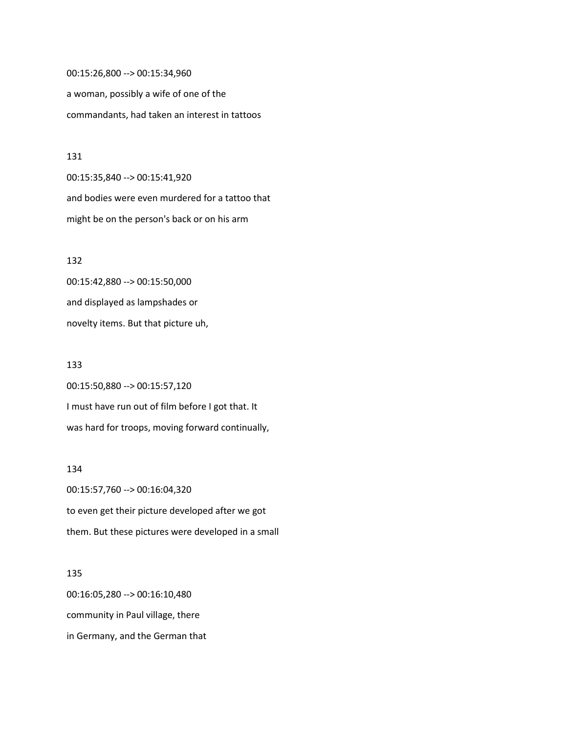00:15:26,800 --> 00:15:34,960 a woman, possibly a wife of one of the commandants, had taken an interest in tattoos

#### 131

00:15:35,840 --> 00:15:41,920 and bodies were even murdered for a tattoo that might be on the person's back or on his arm

# 132

00:15:42,880 --> 00:15:50,000 and displayed as lampshades or novelty items. But that picture uh,

#### 133

00:15:50,880 --> 00:15:57,120 I must have run out of film before I got that. It was hard for troops, moving forward continually,

#### 134

00:15:57,760 --> 00:16:04,320 to even get their picture developed after we got them. But these pictures were developed in a small

# 135

00:16:05,280 --> 00:16:10,480 community in Paul village, there in Germany, and the German that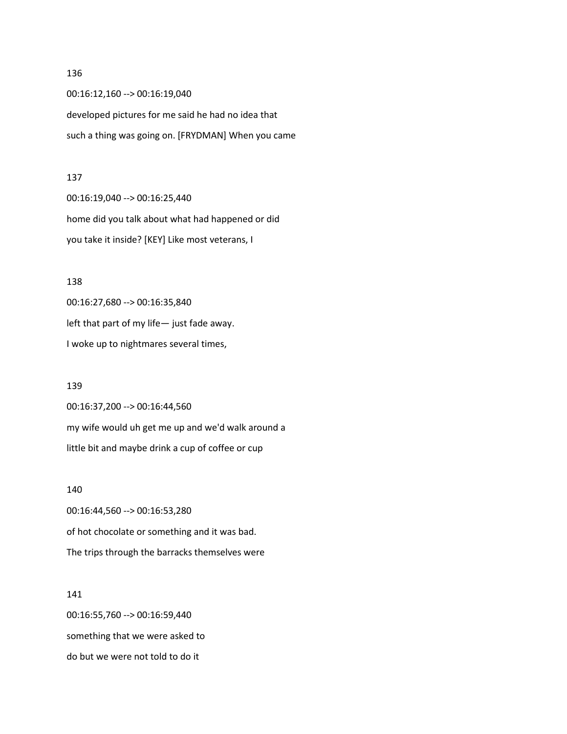00:16:12,160 --> 00:16:19,040 developed pictures for me said he had no idea that such a thing was going on. [FRYDMAN] When you came

#### 137

00:16:19,040 --> 00:16:25,440 home did you talk about what had happened or did you take it inside? [KEY] Like most veterans, I

#### 138

00:16:27,680 --> 00:16:35,840 left that part of my life— just fade away. I woke up to nightmares several times,

## 139

00:16:37,200 --> 00:16:44,560 my wife would uh get me up and we'd walk around a little bit and maybe drink a cup of coffee or cup

## 140

00:16:44,560 --> 00:16:53,280 of hot chocolate or something and it was bad. The trips through the barracks themselves were

#### 141

00:16:55,760 --> 00:16:59,440 something that we were asked to do but we were not told to do it

#### 136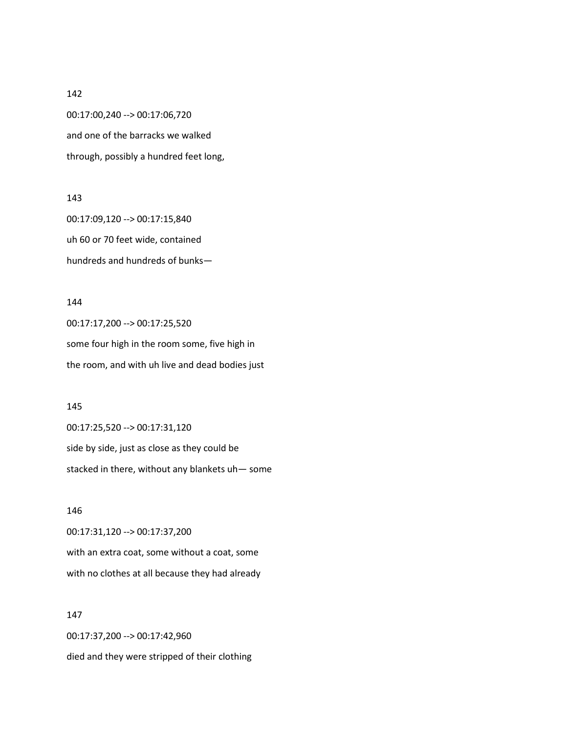00:17:00,240 --> 00:17:06,720 and one of the barracks we walked through, possibly a hundred feet long,

## 143

00:17:09,120 --> 00:17:15,840 uh 60 or 70 feet wide, contained hundreds and hundreds of bunks—

## 144

00:17:17,200 --> 00:17:25,520 some four high in the room some, five high in the room, and with uh live and dead bodies just

#### 145

00:17:25,520 --> 00:17:31,120 side by side, just as close as they could be stacked in there, without any blankets uh— some

## 146

00:17:31,120 --> 00:17:37,200 with an extra coat, some without a coat, some with no clothes at all because they had already

## 147

00:17:37,200 --> 00:17:42,960 died and they were stripped of their clothing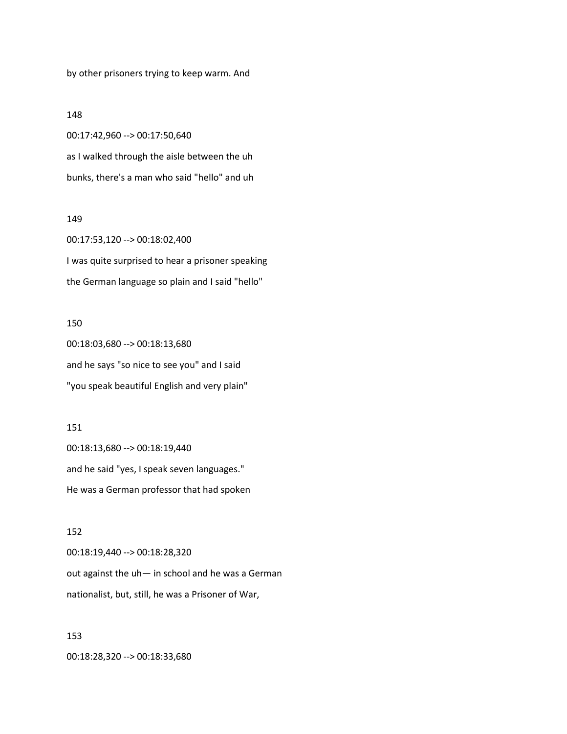by other prisoners trying to keep warm. And

#### 148

00:17:42,960 --> 00:17:50,640 as I walked through the aisle between the uh bunks, there's a man who said "hello" and uh

#### 149

00:17:53,120 --> 00:18:02,400 I was quite surprised to hear a prisoner speaking the German language so plain and I said "hello"

#### 150

00:18:03,680 --> 00:18:13,680 and he says "so nice to see you" and I said "you speak beautiful English and very plain"

## 151

00:18:13,680 --> 00:18:19,440 and he said "yes, I speak seven languages." He was a German professor that had spoken

#### 152

00:18:19,440 --> 00:18:28,320 out against the uh— in school and he was a German nationalist, but, still, he was a Prisoner of War,

#### 153

00:18:28,320 --> 00:18:33,680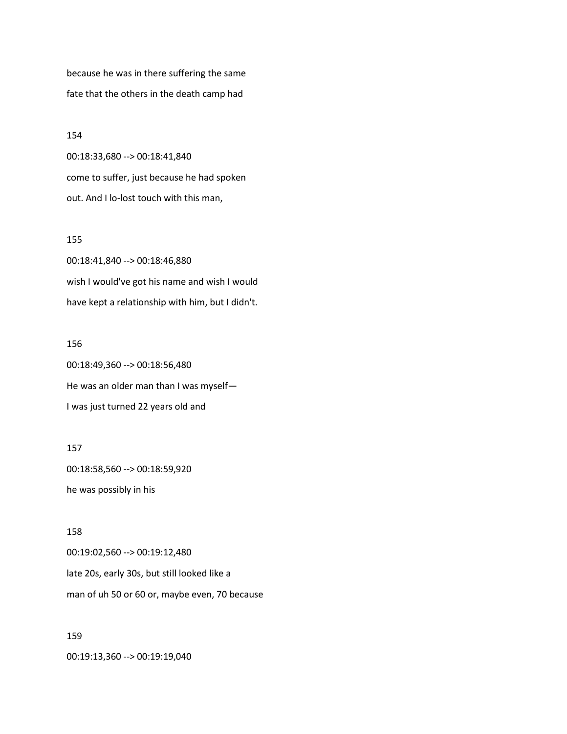because he was in there suffering the same fate that the others in the death camp had

154

00:18:33,680 --> 00:18:41,840 come to suffer, just because he had spoken out. And I lo-lost touch with this man,

## 155

00:18:41,840 --> 00:18:46,880 wish I would've got his name and wish I would have kept a relationship with him, but I didn't.

#### 156

00:18:49,360 --> 00:18:56,480 He was an older man than I was myself— I was just turned 22 years old and

## 157

00:18:58,560 --> 00:18:59,920 he was possibly in his

## 158

00:19:02,560 --> 00:19:12,480 late 20s, early 30s, but still looked like a man of uh 50 or 60 or, maybe even, 70 because

#### 159

00:19:13,360 --> 00:19:19,040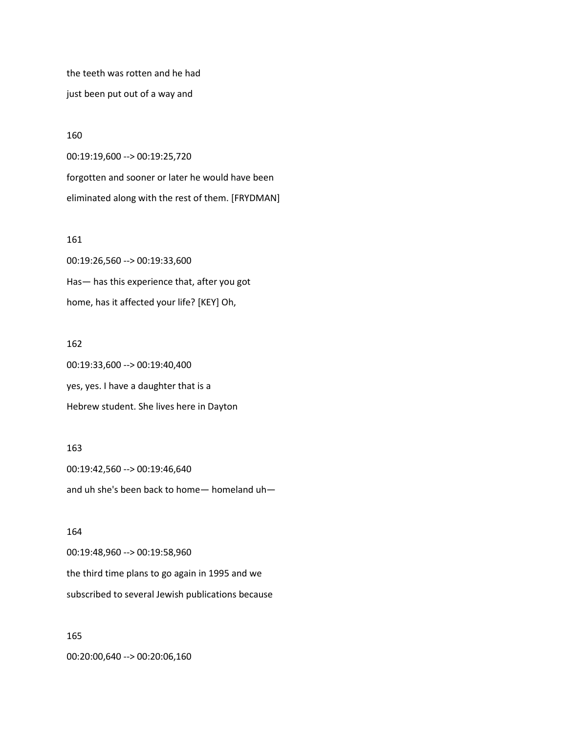the teeth was rotten and he had just been put out of a way and

#### 160

00:19:19,600 --> 00:19:25,720

forgotten and sooner or later he would have been eliminated along with the rest of them. [FRYDMAN]

## 161

00:19:26,560 --> 00:19:33,600 Has— has this experience that, after you got home, has it affected your life? [KEY] Oh,

#### 162

00:19:33,600 --> 00:19:40,400 yes, yes. I have a daughter that is a Hebrew student. She lives here in Dayton

### 163

00:19:42,560 --> 00:19:46,640 and uh she's been back to home— homeland uh—

## 164

00:19:48,960 --> 00:19:58,960 the third time plans to go again in 1995 and we subscribed to several Jewish publications because

## 165

00:20:00,640 --> 00:20:06,160